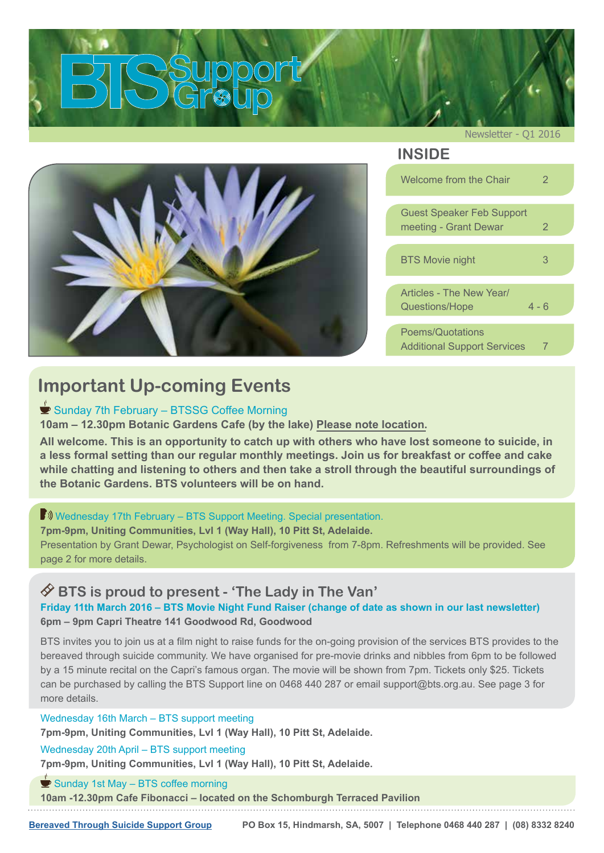<span id="page-0-0"></span>

Newsletter - Q1 2016

### **INSIDE**

| Welcome from the Chair                                        | 2       |
|---------------------------------------------------------------|---------|
| <b>Guest Speaker Feb Support</b><br>meeting - Grant Dewar     | 2       |
| <b>BTS Movie night</b>                                        | 3       |
| Articles - The New Year<br>Questions/Hope                     | $4 - 6$ |
| <b>Poems/Quotations</b><br><b>Additional Support Services</b> | 7       |

## **Important Up-coming Events**

#### Sunday 7th February – BTSSG Coffee Morning

**10am – 12.30pm Botanic Gardens Cafe (by the lake) Please note location.**

**All welcome. This is an opportunity to catch up with others who have lost someone to suicide, in a less formal setting than our regular monthly meetings. Join us for breakfast or coffee and cake while chatting and listening to others and then take a stroll through the beautiful surroundings of the Botanic Gardens. BTS volunteers will be on hand.**

#### **B**) Wednesday 17th February – BTS Support Meeting. Special presentation.

**7pm-9pm, Uniting Communities, Lvl 1 (Way Hall), 10 Pitt St, Adelaide.**  Presentation by Grant Dewar, Psychologist on Self-forgiveness from 7-8pm. Refreshments will be provided. See page 2 for more details.

#### **BTS is proud to present - 'The Lady in The Van'**

**Friday 11th March 2016 – BTS Movie Night Fund Raiser (change of date as shown in our last newsletter) 6pm – 9pm Capri Theatre 141 Goodwood Rd, Goodwood**

BTS invites you to join us at a film night to raise funds for the on-going provision of the services BTS provides to the bereaved through suicide community. We have organised for pre-movie drinks and nibbles from 6pm to be followed by a 15 minute recital on the Capri's famous organ. The movie will be shown from 7pm. Tickets only \$25. Tickets can be purchased by calling the BTS Support line on 0468 440 287 or email support@bts.org.au. See page 3 for more details.

#### Wednesday 16th March – BTS support meeting

**7pm-9pm, Uniting Communities, Lvl 1 (Way Hall), 10 Pitt St, Adelaide.**

Wednesday 20th April – BTS support meeting

**7pm-9pm, Uniting Communities, Lvl 1 (Way Hall), 10 Pitt St, Adelaide.** 

#### $\blacktriangleright$  Sunday 1st May – BTS coffee morning

**10am -12.30pm Cafe Fibonacci – located on the Schomburgh Terraced Pavilion**

**[Bereaved Through Suicide Support Group](http://www.bts.org.au) PO Box 15, Hindmarsh, SA, 5007 | Telephone 0468 440 287 | (08) 8332 8240**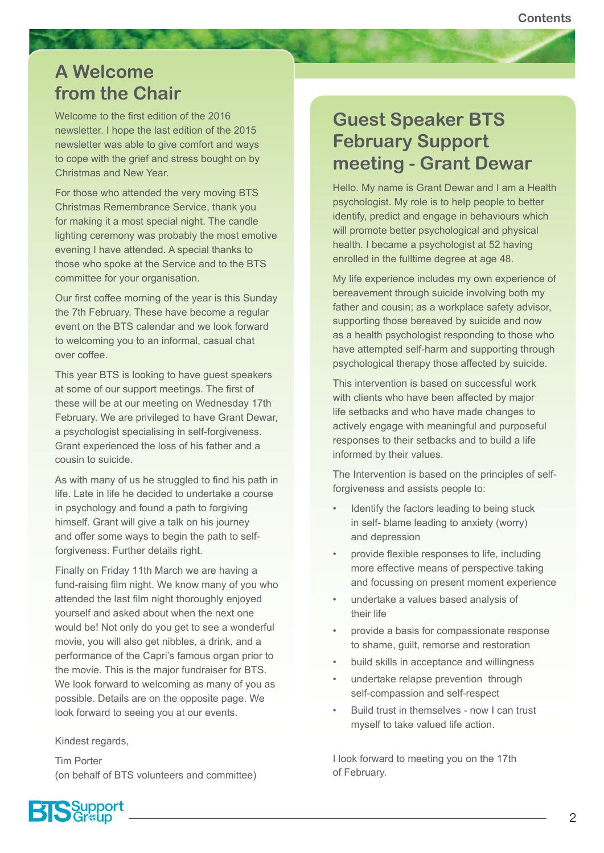### <span id="page-1-0"></span>**A Welcome from the Chair**

Welcome to the first edition of the 2016 newsletter. I hope the last edition of the 2015 newsletter was able to give comfort and ways to cope with the grief and stress bought on by Christmas and New Year.

For those who attended the very moving BTS Christmas Remembrance Service, thank you for making it a most special night. The candle lighting ceremony was probably the most emotive evening I have attended. A special thanks to those who spoke at the Service and to the BTS committee for your organisation.

Our first coffee morning of the year is this Sunday the 7th February. These have become a regular event on the BTS calendar and we look forward to welcoming you to an informal, casual chat over coffee.

This year BTS is looking to have guest speakers at some of our support meetings. The first of these will be at our meeting on Wednesday 17th February. We are privileged to have Grant Dewar, a psychologist specialising in self-forgiveness. Grant experienced the loss of his father and a cousin to suicide.

As with many of us he struggled to find his path in life. Late in life he decided to undertake a course in psychology and found a path to forgiving himself. Grant will give a talk on his journey and offer some ways to begin the path to selfforgiveness. Further details right.

Finally on Friday 11th March we are having a fund-raising film night. We know many of you who attended the last film night thoroughly enjoyed yourself and asked about when the next one would be! Not only do you get to see a wonderful movie, you will also get nibbles, a drink, and a performance of the Capri's famous organ prior to the movie. This is the major fundraiser for BTS. We look forward to welcoming as many of you as possible. Details are on the opposite page. We look forward to seeing you at our events.

Kindest regards,

Tim Porter (on behalf of BTS volunteers and committee)

### **Guest Speaker BTS February Support meeting - Grant Dewar**

Hello. My name is Grant Dewar and I am a Health psychologist. My role is to help people to better identify, predict and engage in behaviours which will promote better psychological and physical health. I became a psychologist at 52 having enrolled in the fulltime degree at age 48.

My life experience includes my own experience of bereavement through suicide involving both my father and cousin; as a workplace safety advisor, supporting those bereaved by suicide and now as a health psychologist responding to those who have attempted self-harm and supporting through psychological therapy those affected by suicide.

This intervention is based on successful work with clients who have been affected by major life setbacks and who have made changes to actively engage with meaningful and purposeful responses to their setbacks and to build a life informed by their values.

The Intervention is based on the principles of selfforgiveness and assists people to:

- Identify the factors leading to being stuck in self- blame leading to anxiety (worry) and depression
- provide flexible responses to life, including more effective means of perspective taking and focussing on present moment experience
- undertake a values based analysis of their life
- provide a basis for compassionate response to shame, guilt, remorse and restoration
- build skills in acceptance and willingness
- undertake relapse prevention through self-compassion and self-respect
- Build trust in themselves now I can trust myself to take valued life action.

I look forward to meeting you on the 17th of February.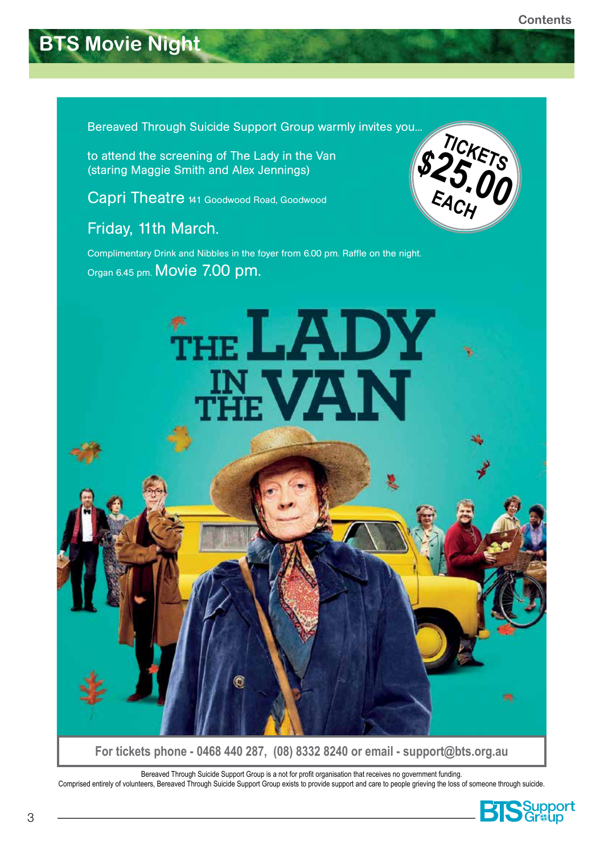## <span id="page-2-0"></span>**BTS Movie Night**

Bereaved Through Suicide Support Group warmly invites you...

to attend the screening of The Lady in the Van (staring Maggie Smith and Alex Jennings)

Capri Theatre 141 Goodwood Road, Goodwood

Friday, 11th March.

Complimentary Drink and Nibbles in the foyer from 6.00 pm. Raffle on the night. Organ 6.45 pm. Movie 7.00 pm.





**For tickets phone - 0468 440 287, (08) 8332 8240 or email - support@bts.org.au** 

Bereaved Through Suicide Support Group is a not for profit organisation that receives no government funding. Comprised entirely of volunteers, Bereaved Through Suicide Support Group exists to provide support and care to people grieving the loss of someone through suicide.

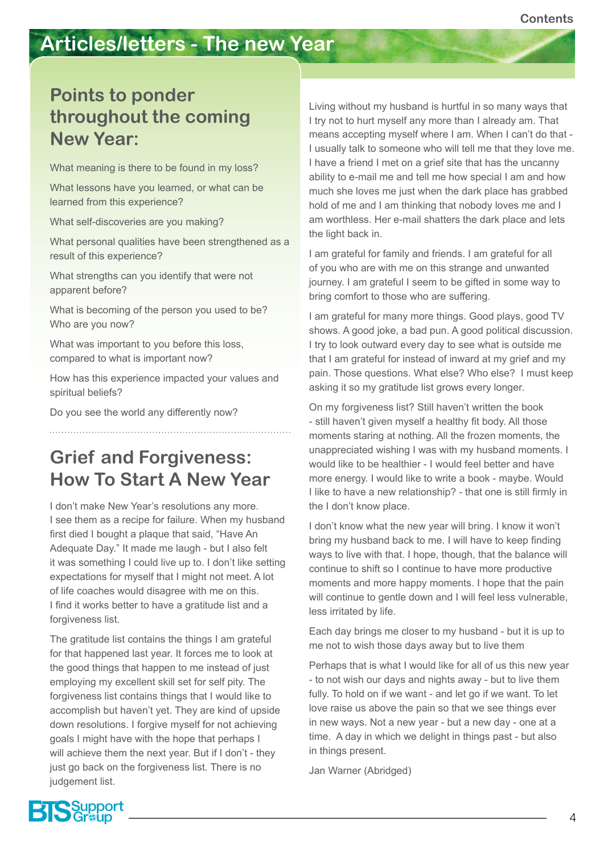## <span id="page-3-0"></span>**Articles/letters - The new Year**

### **Points to ponder throughout the coming New Year:**

What meaning is there to be found in my loss?

What lessons have you learned, or what can be learned from this experience?

What self-discoveries are you making?

What personal qualities have been strengthened as a result of this experience?

What strengths can you identify that were not apparent before?

What is becoming of the person you used to be? Who are you now?

What was important to you before this loss, compared to what is important now?

How has this experience impacted your values and spiritual beliefs?

Do you see the world any differently now?

**Grief and Forgiveness: How To Start A New Year**

I don't make New Year's resolutions any more. I see them as a recipe for failure. When my husband first died I bought a plaque that said, "Have An Adequate Day." It made me laugh - but I also felt it was something I could live up to. I don't like setting expectations for myself that I might not meet. A lot of life coaches would disagree with me on this. I find it works better to have a gratitude list and a forgiveness list.

The gratitude list contains the things I am grateful for that happened last year. It forces me to look at the good things that happen to me instead of just employing my excellent skill set for self pity. The forgiveness list contains things that I would like to accomplish but haven't yet. They are kind of upside down resolutions. I forgive myself for not achieving goals I might have with the hope that perhaps I will achieve them the next year. But if I don't - they just go back on the forgiveness list. There is no judgement list.

Living without my husband is hurtful in so many ways that I try not to hurt myself any more than I already am. That means accepting myself where I am. When I can't do that - I usually talk to someone who will tell me that they love me. I have a friend I met on a grief site that has the uncanny ability to e-mail me and tell me how special I am and how much she loves me just when the dark place has grabbed hold of me and I am thinking that nobody loves me and I am worthless. Her e-mail shatters the dark place and lets the light back in.

I am grateful for family and friends. I am grateful for all of you who are with me on this strange and unwanted journey. I am grateful I seem to be gifted in some way to bring comfort to those who are suffering.

I am grateful for many more things. Good plays, good TV shows. A good joke, a bad pun. A good political discussion. I try to look outward every day to see what is outside me that I am grateful for instead of inward at my grief and my pain. Those questions. What else? Who else? I must keep asking it so my gratitude list grows every longer.

On my forgiveness list? Still haven't written the book - still haven't given myself a healthy fit body. All those moments staring at nothing. All the frozen moments, the unappreciated wishing I was with my husband moments. I would like to be healthier - I would feel better and have more energy. I would like to write a book - maybe. Would I like to have a new relationship? - that one is still firmly in the I don't know place.

I don't know what the new year will bring. I know it won't bring my husband back to me. I will have to keep finding ways to live with that. I hope, though, that the balance will continue to shift so I continue to have more productive moments and more happy moments. I hope that the pain will continue to gentle down and I will feel less vulnerable, less irritated by life.

Each day brings me closer to my husband - but it is up to me not to wish those days away but to live them

Perhaps that is what I would like for all of us this new year - to not wish our days and nights away - but to live them fully. To hold on if we want - and let go if we want. To let love raise us above the pain so that we see things ever in new ways. Not a new year - but a new day - one at a time. A day in which we delight in things past - but also in things present.

Jan Warner (Abridged)

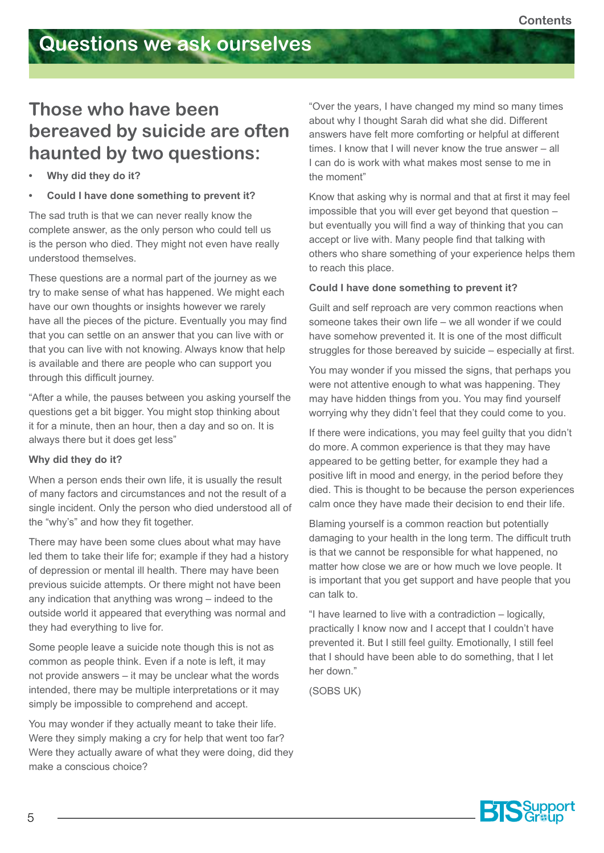### **Those who have been bereaved by suicide are often haunted by two questions:**

- **• Why did they do it?**
- **• Could I have done something to prevent it?**

The sad truth is that we can never really know the complete answer, as the only person who could tell us is the person who died. They might not even have really understood themselves.

These questions are a normal part of the journey as we try to make sense of what has happened. We might each have our own thoughts or insights however we rarely have all the pieces of the picture. Eventually you may find that you can settle on an answer that you can live with or that you can live with not knowing. Always know that help is available and there are people who can support you through this difficult journey.

"After a while, the pauses between you asking yourself the questions get a bit bigger. You might stop thinking about it for a minute, then an hour, then a day and so on. It is always there but it does get less"

#### **Why did they do it?**

When a person ends their own life, it is usually the result of many factors and circumstances and not the result of a single incident. Only the person who died understood all of the "why's" and how they fit together.

There may have been some clues about what may have led them to take their life for; example if they had a history of depression or mental ill health. There may have been previous suicide attempts. Or there might not have been any indication that anything was wrong – indeed to the outside world it appeared that everything was normal and they had everything to live for.

Some people leave a suicide note though this is not as common as people think. Even if a note is left, it may not provide answers – it may be unclear what the words intended, there may be multiple interpretations or it may simply be impossible to comprehend and accept.

You may wonder if they actually meant to take their life. Were they simply making a cry for help that went too far? Were they actually aware of what they were doing, did they make a conscious choice?

"Over the years, I have changed my mind so many times about why I thought Sarah did what she did. Different answers have felt more comforting or helpful at different times. I know that I will never know the true answer – all I can do is work with what makes most sense to me in the moment"

Know that asking why is normal and that at first it may feel impossible that you will ever get beyond that question – but eventually you will find a way of thinking that you can accept or live with. Many people find that talking with others who share something of your experience helps them to reach this place.

#### **Could I have done something to prevent it?**

Guilt and self reproach are very common reactions when someone takes their own life – we all wonder if we could have somehow prevented it. It is one of the most difficult struggles for those bereaved by suicide – especially at first.

You may wonder if you missed the signs, that perhaps you were not attentive enough to what was happening. They may have hidden things from you. You may find yourself worrying why they didn't feel that they could come to you.

If there were indications, you may feel guilty that you didn't do more. A common experience is that they may have appeared to be getting better, for example they had a positive lift in mood and energy, in the period before they died. This is thought to be because the person experiences calm once they have made their decision to end their life.

Blaming yourself is a common reaction but potentially damaging to your health in the long term. The difficult truth is that we cannot be responsible for what happened, no matter how close we are or how much we love people. It is important that you get support and have people that you can talk to.

"I have learned to live with a contradiction – logically, practically I know now and I accept that I couldn't have prevented it. But I still feel guilty. Emotionally, I still feel that I should have been able to do something, that I let her down."

(SOBS UK)

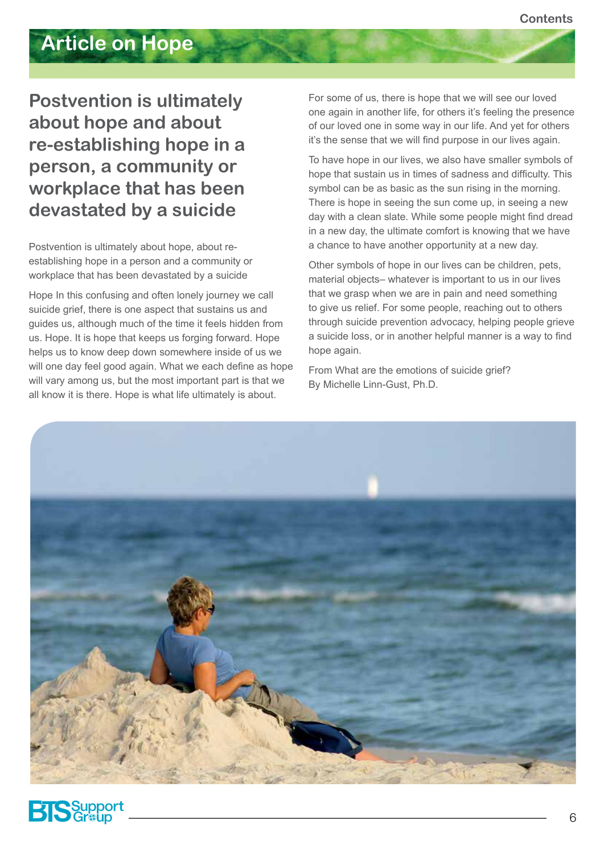## **Article on Hope**

### **Postvention is ultimately about hope and about re-establishing hope in a person, a community or workplace that has been devastated by a suicide**

Postvention is ultimately about hope, about reestablishing hope in a person and a community or workplace that has been devastated by a suicide

Hope In this confusing and often lonely journey we call suicide grief, there is one aspect that sustains us and guides us, although much of the time it feels hidden from us. Hope. It is hope that keeps us forging forward. Hope helps us to know deep down somewhere inside of us we will one day feel good again. What we each define as hope will vary among us, but the most important part is that we all know it is there. Hope is what life ultimately is about.

For some of us, there is hope that we will see our loved one again in another life, for others it's feeling the presence of our loved one in some way in our life. And yet for others it's the sense that we will find purpose in our lives again.

To have hope in our lives, we also have smaller symbols of hope that sustain us in times of sadness and difficulty. This symbol can be as basic as the sun rising in the morning. There is hope in seeing the sun come up, in seeing a new day with a clean slate. While some people might find dread in a new day, the ultimate comfort is knowing that we have a chance to have another opportunity at a new day.

Other symbols of hope in our lives can be children, pets, material objects– whatever is important to us in our lives that we grasp when we are in pain and need something to give us relief. For some people, reaching out to others through suicide prevention advocacy, helping people grieve a suicide loss, or in another helpful manner is a way to find hope again.

From What are the emotions of suicide grief? By Michelle Linn-Gust, Ph.D.